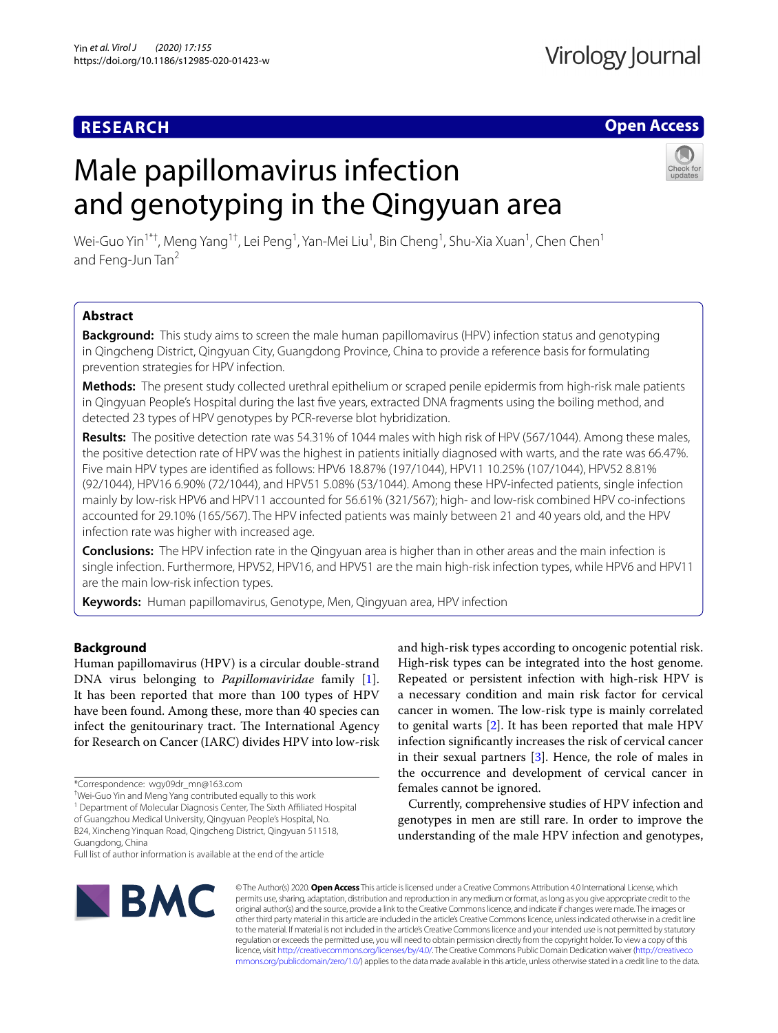# **RESEARCH**

## **Open Access**

# Male papillomavirus infection and genotyping in the Qingyuan area



Wei-Guo Yin $^{1*+}$ , Meng Yang $^{1+}$ , Lei Peng $^{1}$ , Yan-Mei Liu $^{1}$ , Bin Cheng $^{1}$ , Shu-Xia Xuan $^{1}$ , Chen Chen $^{1}$ and Feng-Jun Tan<sup>2</sup>

## **Abstract**

**Background:** This study aims to screen the male human papillomavirus (HPV) infection status and genotyping in Qingcheng District, Qingyuan City, Guangdong Province, China to provide a reference basis for formulating prevention strategies for HPV infection.

**Methods:** The present study collected urethral epithelium or scraped penile epidermis from high-risk male patients in Qingyuan People's Hospital during the last fve years, extracted DNA fragments using the boiling method, and detected 23 types of HPV genotypes by PCR-reverse blot hybridization.

**Results:** The positive detection rate was 54.31% of 1044 males with high risk of HPV (567/1044). Among these males, the positive detection rate of HPV was the highest in patients initially diagnosed with warts, and the rate was 66.47%. Five main HPV types are identifed as follows: HPV6 18.87% (197/1044), HPV11 10.25% (107/1044), HPV52 8.81% (92/1044), HPV16 6.90% (72/1044), and HPV51 5.08% (53/1044). Among these HPV-infected patients, single infection mainly by low-risk HPV6 and HPV11 accounted for 56.61% (321/567); high- and low-risk combined HPV co-infections accounted for 29.10% (165/567). The HPV infected patients was mainly between 21 and 40 years old, and the HPV infection rate was higher with increased age.

**Conclusions:** The HPV infection rate in the Qingyuan area is higher than in other areas and the main infection is single infection. Furthermore, HPV52, HPV16, and HPV51 are the main high-risk infection types, while HPV6 and HPV11 are the main low-risk infection types.

**Keywords:** Human papillomavirus, Genotype, Men, Qingyuan area, HPV infection

## **Background**

Human papillomavirus (HPV) is a circular double-strand DNA virus belonging to *Papillomaviridae* family [\[1](#page-5-0)]. It has been reported that more than 100 types of HPV have been found. Among these, more than 40 species can infect the genitourinary tract. The International Agency for Research on Cancer (IARC) divides HPV into low-risk

<sup>1</sup> Department of Molecular Diagnosis Center, The Sixth Affiliated Hospital of Guangzhou Medical University, Qingyuan People's Hospital, No. B24, Xincheng Yinquan Road, Qingcheng District, Qingyuan 511518, Guangdong, China

Full list of author information is available at the end of the article



and high-risk types according to oncogenic potential risk. High-risk types can be integrated into the host genome. Repeated or persistent infection with high-risk HPV is a necessary condition and main risk factor for cervical cancer in women. The low-risk type is mainly correlated to genital warts [\[2](#page-5-1)]. It has been reported that male HPV infection signifcantly increases the risk of cervical cancer in their sexual partners [[3](#page-5-2)]. Hence, the role of males in the occurrence and development of cervical cancer in females cannot be ignored.

Currently, comprehensive studies of HPV infection and genotypes in men are still rare. In order to improve the understanding of the male HPV infection and genotypes,

© The Author(s) 2020. **Open Access** This article is licensed under a Creative Commons Attribution 4.0 International License, which permits use, sharing, adaptation, distribution and reproduction in any medium or format, as long as you give appropriate credit to the original author(s) and the source, provide a link to the Creative Commons licence, and indicate if changes were made. The images or other third party material in this article are included in the article's Creative Commons licence, unless indicated otherwise in a credit line to the material. If material is not included in the article's Creative Commons licence and your intended use is not permitted by statutory regulation or exceeds the permitted use, you will need to obtain permission directly from the copyright holder. To view a copy of this licence, visit [http://creativecommons.org/licenses/by/4.0/.](http://creativecommons.org/licenses/by/4.0/) The Creative Commons Public Domain Dedication waiver ([http://creativeco](http://creativecommons.org/publicdomain/zero/1.0/) [mmons.org/publicdomain/zero/1.0/](http://creativecommons.org/publicdomain/zero/1.0/)) applies to the data made available in this article, unless otherwise stated in a credit line to the data.

<sup>\*</sup>Correspondence: wgy09dr\_mn@163.com

<sup>†</sup> Wei-Guo Yin and Meng Yang contributed equally to this work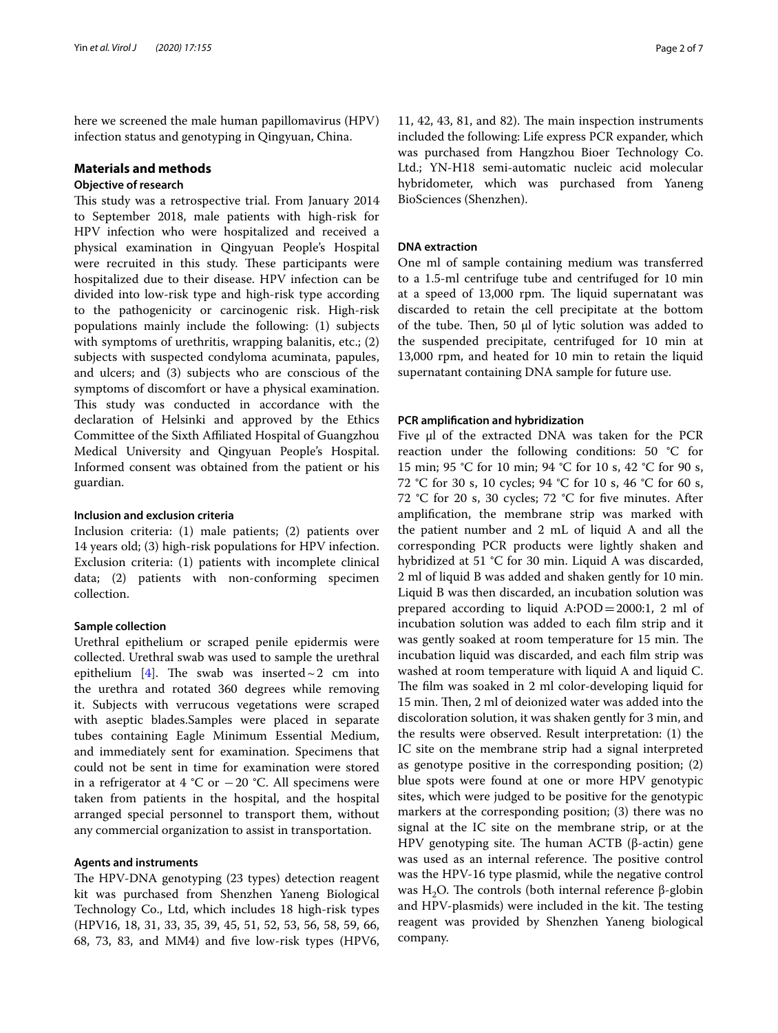here we screened the male human papillomavirus (HPV) infection status and genotyping in Qingyuan, China.

# **Materials and methods**

## **Objective of research**

This study was a retrospective trial. From January 2014 to September 2018, male patients with high-risk for HPV infection who were hospitalized and received a physical examination in Qingyuan People's Hospital were recruited in this study. These participants were hospitalized due to their disease. HPV infection can be divided into low-risk type and high-risk type according to the pathogenicity or carcinogenic risk. High-risk populations mainly include the following: (1) subjects with symptoms of urethritis, wrapping balanitis, etc.; (2) subjects with suspected condyloma acuminata, papules, and ulcers; and (3) subjects who are conscious of the symptoms of discomfort or have a physical examination. This study was conducted in accordance with the declaration of Helsinki and approved by the Ethics Committee of the Sixth Afliated Hospital of Guangzhou Medical University and Qingyuan People's Hospital. Informed consent was obtained from the patient or his guardian.

#### **Inclusion and exclusion criteria**

Inclusion criteria: (1) male patients; (2) patients over 14 years old; (3) high-risk populations for HPV infection. Exclusion criteria: (1) patients with incomplete clinical data; (2) patients with non-conforming specimen collection.

## **Sample collection**

Urethral epithelium or scraped penile epidermis were collected. Urethral swab was used to sample the urethral epithelium [\[4\]](#page-5-3). The swab was inserted  $\sim$  2 cm into the urethra and rotated 360 degrees while removing it. Subjects with verrucous vegetations were scraped with aseptic blades.Samples were placed in separate tubes containing Eagle Minimum Essential Medium, and immediately sent for examination. Specimens that could not be sent in time for examination were stored in a refrigerator at 4  $°C$  or  $-20$   $°C$ . All specimens were taken from patients in the hospital, and the hospital arranged special personnel to transport them, without any commercial organization to assist in transportation.

#### **Agents and instruments**

The HPV-DNA genotyping (23 types) detection reagent kit was purchased from Shenzhen Yaneng Biological Technology Co., Ltd, which includes 18 high-risk types (HPV16, 18, 31, 33, 35, 39, 45, 51, 52, 53, 56, 58, 59, 66, 68, 73, 83, and MM4) and fve low-risk types (HPV6,

 $11, 42, 43, 81,$  and  $82$ ). The main inspection instruments included the following: Life express PCR expander, which was purchased from Hangzhou Bioer Technology Co. Ltd.; YN-H18 semi-automatic nucleic acid molecular hybridometer, which was purchased from Yaneng BioSciences (Shenzhen).

## **DNA extraction**

One ml of sample containing medium was transferred to a 1.5-ml centrifuge tube and centrifuged for 10 min at a speed of 13,000 rpm. The liquid supernatant was discarded to retain the cell precipitate at the bottom of the tube. Then, 50  $\mu$ l of lytic solution was added to the suspended precipitate, centrifuged for 10 min at 13,000 rpm, and heated for 10 min to retain the liquid supernatant containing DNA sample for future use.

#### **PCR amplifcation and hybridization**

Five μl of the extracted DNA was taken for the PCR reaction under the following conditions: 50 °C for 15 min; 95 °C for 10 min; 94 °C for 10 s, 42 °C for 90 s, 72 °C for 30 s, 10 cycles; 94 °C for 10 s, 46 °C for 60 s, 72 °C for 20 s, 30 cycles; 72 °C for fve minutes. After amplifcation, the membrane strip was marked with the patient number and 2 mL of liquid A and all the corresponding PCR products were lightly shaken and hybridized at 51 °C for 30 min. Liquid A was discarded, 2 ml of liquid B was added and shaken gently for 10 min. Liquid B was then discarded, an incubation solution was prepared according to liquid  $A:POD = 2000:1$ , 2 ml of incubation solution was added to each flm strip and it was gently soaked at room temperature for 15 min. The incubation liquid was discarded, and each flm strip was washed at room temperature with liquid A and liquid C. The film was soaked in 2 ml color-developing liquid for 15 min. Then, 2 ml of deionized water was added into the discoloration solution, it was shaken gently for 3 min, and the results were observed. Result interpretation: (1) the IC site on the membrane strip had a signal interpreted as genotype positive in the corresponding position; (2) blue spots were found at one or more HPV genotypic sites, which were judged to be positive for the genotypic markers at the corresponding position; (3) there was no signal at the IC site on the membrane strip, or at the HPV genotyping site. The human ACTB (β-actin) gene was used as an internal reference. The positive control was the HPV-16 type plasmid, while the negative control was H<sub>2</sub>O. The controls (both internal reference β-globin and HPV-plasmids) were included in the kit. The testing reagent was provided by Shenzhen Yaneng biological company.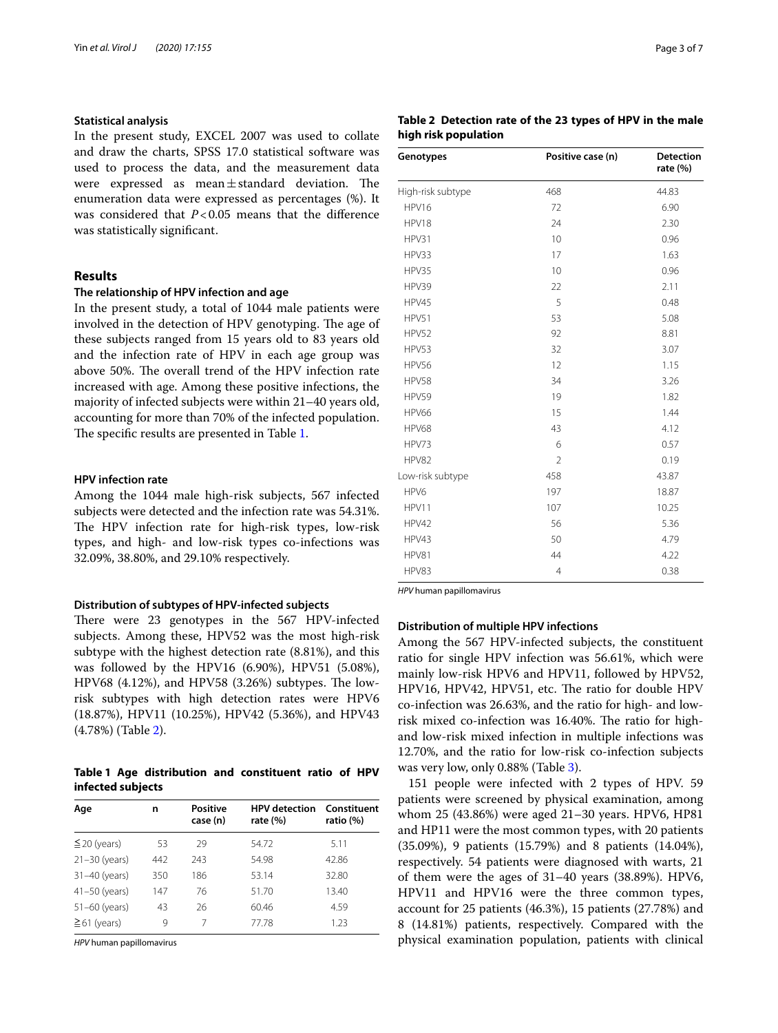## **Statistical analysis**

In the present study, EXCEL 2007 was used to collate and draw the charts, SPSS 17.0 statistical software was used to process the data, and the measurement data were expressed as  $mean \pm standard$  deviation. The enumeration data were expressed as percentages (%). It was considered that  $P < 0.05$  means that the difference was statistically signifcant.

## **Results**

#### **The relationship of HPV infection and age**

In the present study, a total of 1044 male patients were involved in the detection of HPV genotyping. The age of these subjects ranged from 15 years old to 83 years old and the infection rate of HPV in each age group was above 50%. The overall trend of the HPV infection rate increased with age. Among these positive infections, the majority of infected subjects were within 21–40 years old, accounting for more than 70% of the infected population. The specific results are presented in Table [1](#page-2-0).

#### **HPV infection rate**

Among the 1044 male high-risk subjects, 567 infected subjects were detected and the infection rate was 54.31%. The HPV infection rate for high-risk types, low-risk types, and high- and low-risk types co-infections was 32.09%, 38.80%, and 29.10% respectively.

#### **Distribution of subtypes of HPV‑infected subjects**

There were 23 genotypes in the 567 HPV-infected subjects. Among these, HPV52 was the most high-risk subtype with the highest detection rate (8.81%), and this was followed by the HPV16 (6.90%), HPV51 (5.08%), HPV68  $(4.12%)$ , and HPV58  $(3.26%)$  subtypes. The lowrisk subtypes with high detection rates were HPV6 (18.87%), HPV11 (10.25%), HPV42 (5.36%), and HPV43 (4.78%) (Table [2](#page-2-1)).

## <span id="page-2-0"></span>**Table 1 Age distribution and constituent ratio of HPV infected subjects**

| Age<br>n          |     | <b>Positive</b><br>case (n) | <b>HPV</b> detection<br>rate $(\%)$ | Constituent<br>ratio (%) |  |
|-------------------|-----|-----------------------------|-------------------------------------|--------------------------|--|
| $\leq$ 20 (years) | 53  | 29                          | 54.72                               | 5.11                     |  |
| $21-30$ (years)   | 442 | 243                         | 54.98                               | 42.86                    |  |
| $31-40$ (years)   | 350 | 186                         | 53.14                               | 32.80                    |  |
| $41-50$ (years)   | 147 | 76                          | 51.70                               | 13.40                    |  |
| $51 - 60$ (years) | 43  | 26                          | 60.46                               | 4.59                     |  |
| $\geq 61$ (years) | 9   | 7                           | 77.78                               | 1.23                     |  |

*HPV* human papillomavirus

## <span id="page-2-1"></span>**Table 2 Detection rate of the 23 types of HPV in the male high risk population**

| Genotypes         | Positive case (n) | <b>Detection</b><br>rate (%) |  |
|-------------------|-------------------|------------------------------|--|
| High-risk subtype | 468               | 44.83                        |  |
| HPV16             | 72                | 6.90                         |  |
| HPV18             | 24                | 2.30                         |  |
| HPV31             | 10                | 0.96                         |  |
| HPV33             | 17                | 1.63                         |  |
| HPV35             | 10                | 0.96                         |  |
| HPV39             | 22                | 2.11                         |  |
| HPV45             | 5                 | 0.48                         |  |
| HPV51             | 53                | 5.08                         |  |
| HPV52             | 92                | 8.81                         |  |
| HPV53             | 32                | 3.07                         |  |
| HPV56             | 12                | 1.15                         |  |
| HPV58             | 34                | 3.26                         |  |
| HPV59             | 19                | 1.82                         |  |
| <b>HPV66</b>      | 15                | 1.44                         |  |
| HPV68             | 43                | 4.12                         |  |
| HPV73             | 6                 | 0.57                         |  |
| HPV82             | $\overline{2}$    | 0.19                         |  |
| Low-risk subtype  | 458               | 43.87                        |  |
| HPV6              | 197               | 18.87                        |  |
| HPV11             | 107               | 10.25                        |  |
| HPV42             | 56                | 5.36                         |  |
| HPV43             | 50                | 4.79                         |  |
| HPV81             | 44                | 4.22                         |  |
| HPV83             | $\overline{4}$    | 0.38                         |  |

*HPV* human papillomavirus

## **Distribution of multiple HPV infections**

Among the 567 HPV-infected subjects, the constituent ratio for single HPV infection was 56.61%, which were mainly low-risk HPV6 and HPV11, followed by HPV52, HPV16, HPV42, HPV51, etc. The ratio for double HPV co-infection was 26.63%, and the ratio for high- and lowrisk mixed co-infection was 16.40%. The ratio for highand low-risk mixed infection in multiple infections was 12.70%, and the ratio for low-risk co-infection subjects was very low, only 0.88% (Table [3\)](#page-3-0).

151 people were infected with 2 types of HPV. 59 patients were screened by physical examination, among whom 25 (43.86%) were aged 21–30 years. HPV6, HP81 and HP11 were the most common types, with 20 patients (35.09%), 9 patients (15.79%) and 8 patients (14.04%), respectively. 54 patients were diagnosed with warts, 21 of them were the ages of 31–40 years (38.89%). HPV6, HPV11 and HPV16 were the three common types, account for 25 patients (46.3%), 15 patients (27.78%) and 8 (14.81%) patients, respectively. Compared with the physical examination population, patients with clinical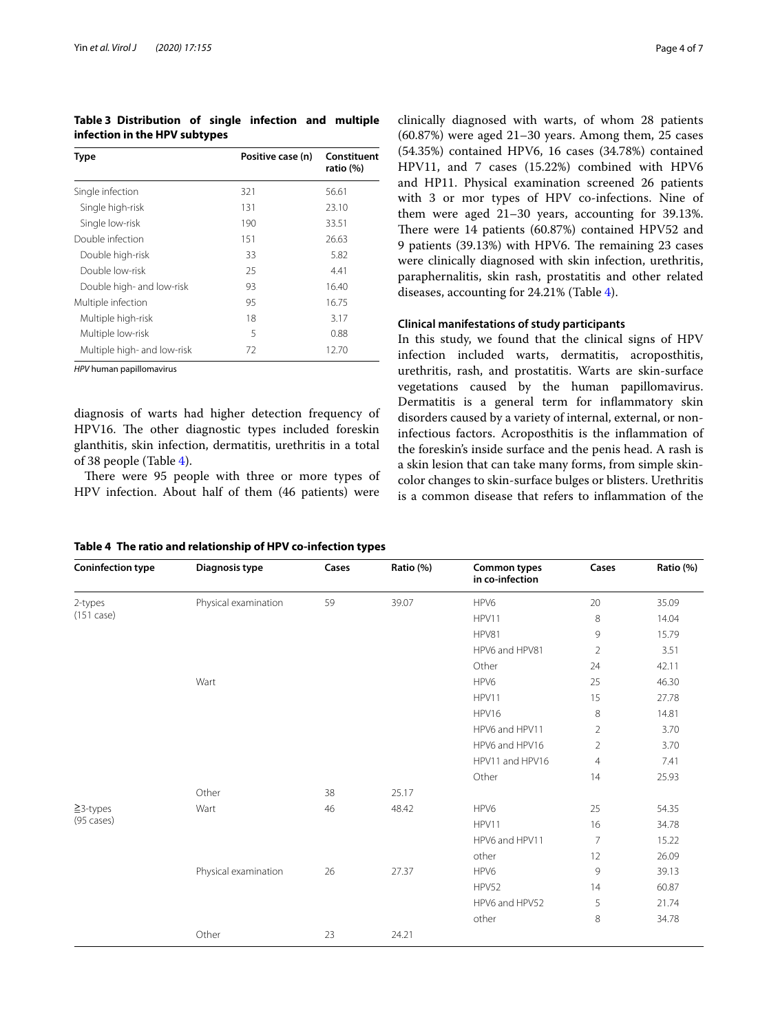<span id="page-3-0"></span>**Table 3 Distribution of single infection and multiple infection in the HPV subtypes**

| <b>Type</b>                 | Positive case (n) | Constituent<br>ratio (%) |  |
|-----------------------------|-------------------|--------------------------|--|
| Single infection            | 321               | 56.61                    |  |
| Single high-risk            | 131               | 23.10                    |  |
| Single low-risk             | 190               | 33.51                    |  |
| Double infection            | 151               | 26.63                    |  |
| Double high-risk            | 33                | 5.82                     |  |
| Double low-risk             | 25                | 4.41                     |  |
| Double high- and low-risk   | 93                | 16.40                    |  |
| Multiple infection          | 95                | 16.75                    |  |
| Multiple high-risk          | 18                | 3.17                     |  |
| Multiple low-risk           | 5                 | 0.88                     |  |
| Multiple high- and low-risk | 72                | 12.70                    |  |

*HPV* human papillomavirus

diagnosis of warts had higher detection frequency of HPV16. The other diagnostic types included foreskin glanthitis, skin infection, dermatitis, urethritis in a total of 38 people (Table [4\)](#page-3-1).

There were 95 people with three or more types of HPV infection. About half of them (46 patients) were

<span id="page-3-1"></span>**Table 4 The ratio and relationship of HPV co-infection types**

clinically diagnosed with warts, of whom 28 patients (60.87%) were aged 21–30 years. Among them, 25 cases (54.35%) contained HPV6, 16 cases (34.78%) contained HPV11, and 7 cases (15.22%) combined with HPV6 and HP11. Physical examination screened 26 patients with 3 or mor types of HPV co-infections. Nine of them were aged 21–30 years, accounting for 39.13%. There were 14 patients (60.87%) contained HPV52 and 9 patients (39.13%) with HPV6. The remaining 23 cases were clinically diagnosed with skin infection, urethritis, paraphernalitis, skin rash, prostatitis and other related diseases, accounting for 24.21% (Table [4\)](#page-3-1).

## **Clinical manifestations of study participants**

In this study, we found that the clinical signs of HPV infection included warts, dermatitis, acroposthitis, urethritis, rash, and prostatitis. Warts are skin-surface vegetations caused by the human papillomavirus. Dermatitis is a general term for inflammatory skin disorders caused by a variety of internal, external, or noninfectious factors. Acroposthitis is the infammation of the foreskin's inside surface and the penis head. A rash is a skin lesion that can take many forms, from simple skincolor changes to skin-surface bulges or blisters. Urethritis is a common disease that refers to infammation of the

| <b>Coninfection type</b>        | Diagnosis type       | Cases | Ratio (%) | <b>Common types</b><br>in co-infection | Cases          | Ratio (%) |
|---------------------------------|----------------------|-------|-----------|----------------------------------------|----------------|-----------|
| 2-types<br>$(151 \text{ case})$ | Physical examination | 59    | 39.07     | HPV6                                   | 20             | 35.09     |
|                                 |                      |       |           | HPV11                                  | 8              | 14.04     |
|                                 |                      |       |           | HPV81                                  | 9              | 15.79     |
|                                 |                      |       |           | HPV6 and HPV81                         | $\overline{2}$ | 3.51      |
|                                 |                      |       |           | Other                                  | 24             | 42.11     |
|                                 | Wart                 |       |           | HPV6                                   | 25             | 46.30     |
|                                 |                      |       |           | HPV11                                  | 15             | 27.78     |
|                                 |                      |       |           | HPV16                                  | 8              | 14.81     |
|                                 |                      |       |           | HPV6 and HPV11                         | $\overline{2}$ | 3.70      |
|                                 |                      |       |           | HPV6 and HPV16                         | $\overline{2}$ | 3.70      |
|                                 |                      |       |           | HPV11 and HPV16                        | $\overline{4}$ | 7.41      |
|                                 |                      |       |           | Other                                  | 14             | 25.93     |
|                                 | Other                | 38    | 25.17     |                                        |                |           |
| $\geq$ 3-types                  | Wart                 | 46    | 48.42     | HPV6                                   | 25             | 54.35     |
| $(95 \text{ cases})$            |                      |       |           | HPV11                                  | 16             | 34.78     |
|                                 |                      |       |           | HPV6 and HPV11                         | $\overline{7}$ | 15.22     |
|                                 |                      |       |           | other                                  | 12             | 26.09     |
|                                 | Physical examination | 26    | 27.37     | HPV6                                   | 9              | 39.13     |
|                                 |                      |       |           | HPV52                                  | 14             | 60.87     |
|                                 |                      |       |           | HPV6 and HPV52                         | 5              | 21.74     |
|                                 |                      |       |           | other                                  | 8              | 34.78     |
|                                 | Other                | 23    | 24.21     |                                        |                |           |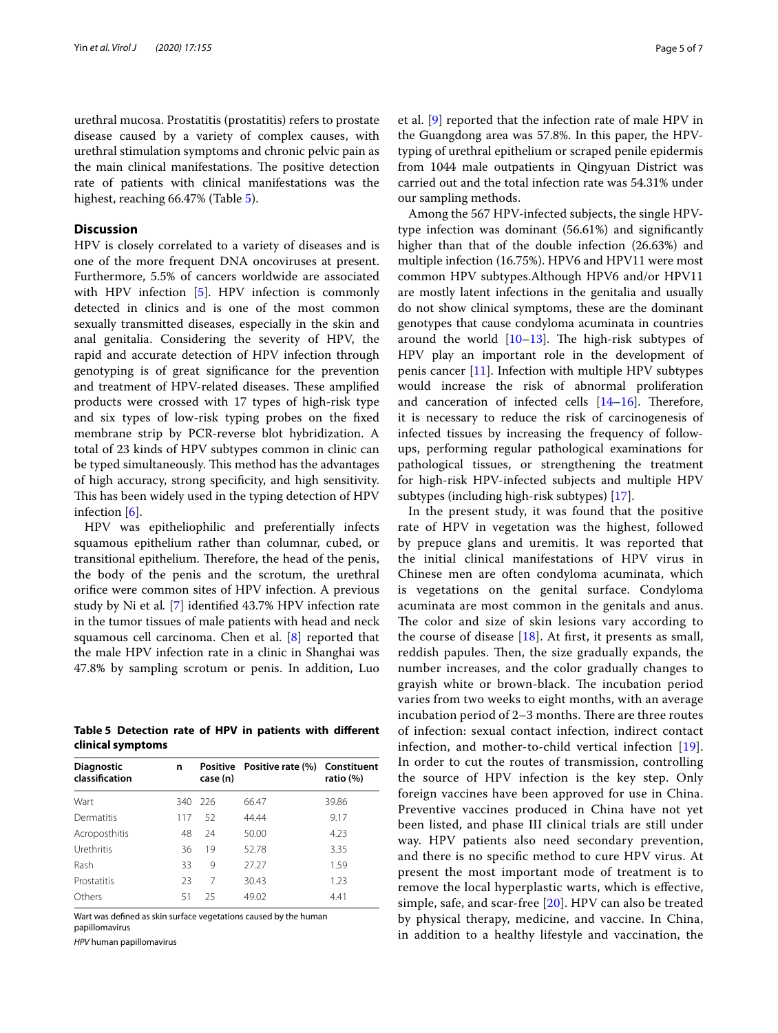urethral mucosa. Prostatitis (prostatitis) refers to prostate disease caused by a variety of complex causes, with urethral stimulation symptoms and chronic pelvic pain as the main clinical manifestations. The positive detection rate of patients with clinical manifestations was the highest, reaching 66.47% (Table [5\)](#page-4-0).

#### **Discussion**

HPV is closely correlated to a variety of diseases and is one of the more frequent DNA oncoviruses at present. Furthermore, 5.5% of cancers worldwide are associated with HPV infection [\[5](#page-5-4)]. HPV infection is commonly detected in clinics and is one of the most common sexually transmitted diseases, especially in the skin and anal genitalia. Considering the severity of HPV, the rapid and accurate detection of HPV infection through genotyping is of great signifcance for the prevention and treatment of HPV-related diseases. These amplified products were crossed with 17 types of high-risk type and six types of low-risk typing probes on the fxed membrane strip by PCR-reverse blot hybridization. A total of 23 kinds of HPV subtypes common in clinic can be typed simultaneously. This method has the advantages of high accuracy, strong specifcity, and high sensitivity. This has been widely used in the typing detection of HPV infection [[6\]](#page-5-5).

HPV was epitheliophilic and preferentially infects squamous epithelium rather than columnar, cubed, or transitional epithelium. Therefore, the head of the penis, the body of the penis and the scrotum, the urethral orifce were common sites of HPV infection. A previous study by Ni et al*.* [[7\]](#page-5-6) identifed 43.7% HPV infection rate in the tumor tissues of male patients with head and neck squamous cell carcinoma. Chen et al. [[8\]](#page-6-0) reported that the male HPV infection rate in a clinic in Shanghai was 47.8% by sampling scrotum or penis. In addition, Luo

<span id="page-4-0"></span>**Table 5 Detection rate of HPV in patients with diferent clinical symptoms**

| <b>Diagnostic</b><br>classification | n   | Positive<br>case (n) | Positive rate (%) Constituent | ratio (%) |
|-------------------------------------|-----|----------------------|-------------------------------|-----------|
| Wart                                | 340 | 226                  | 66.47                         | 39.86     |
| Dermatitis                          | 117 | 52                   | 44.44                         | 9.17      |
| Acroposthitis                       | 48  | 24                   | 50.00                         | 4.23      |
| Urethritis                          | 36  | 19                   | 52.78                         | 3.35      |
| Rash                                | 33  | 9                    | 27.27                         | 1.59      |
| Prostatitis                         | 23  | 7                    | 30.43                         | 1.23      |
| Others                              | 51  | 25                   | 49.02                         | 4.41      |

Wart was defned as skin surface vegetations caused by the human papillomavirus

*HPV* human papillomavirus

et al. [[9\]](#page-6-1) reported that the infection rate of male HPV in the Guangdong area was 57.8%. In this paper, the HPVtyping of urethral epithelium or scraped penile epidermis from 1044 male outpatients in Qingyuan District was carried out and the total infection rate was 54.31% under our sampling methods.

Among the 567 HPV-infected subjects, the single HPVtype infection was dominant (56.61%) and signifcantly higher than that of the double infection (26.63%) and multiple infection (16.75%). HPV6 and HPV11 were most common HPV subtypes.Although HPV6 and/or HPV11 are mostly latent infections in the genitalia and usually do not show clinical symptoms, these are the dominant genotypes that cause condyloma acuminata in countries around the world  $[10-13]$  $[10-13]$ . The high-risk subtypes of HPV play an important role in the development of penis cancer  $[11]$  $[11]$ . Infection with multiple HPV subtypes would increase the risk of abnormal proliferation and canceration of infected cells  $[14–16]$  $[14–16]$  $[14–16]$  $[14–16]$ . Therefore, it is necessary to reduce the risk of carcinogenesis of infected tissues by increasing the frequency of followups, performing regular pathological examinations for pathological tissues, or strengthening the treatment for high-risk HPV-infected subjects and multiple HPV subtypes (including high-risk subtypes) [[17](#page-6-7)].

In the present study, it was found that the positive rate of HPV in vegetation was the highest, followed by prepuce glans and uremitis. It was reported that the initial clinical manifestations of HPV virus in Chinese men are often condyloma acuminata, which is vegetations on the genital surface. Condyloma acuminata are most common in the genitals and anus. The color and size of skin lesions vary according to the course of disease  $[18]$  $[18]$  $[18]$ . At first, it presents as small, reddish papules. Then, the size gradually expands, the number increases, and the color gradually changes to grayish white or brown-black. The incubation period varies from two weeks to eight months, with an average incubation period of  $2-3$  months. There are three routes of infection: sexual contact infection, indirect contact infection, and mother-to-child vertical infection [[19](#page-6-9)]. In order to cut the routes of transmission, controlling the source of HPV infection is the key step. Only foreign vaccines have been approved for use in China. Preventive vaccines produced in China have not yet been listed, and phase III clinical trials are still under way. HPV patients also need secondary prevention, and there is no specifc method to cure HPV virus. At present the most important mode of treatment is to remove the local hyperplastic warts, which is efective, simple, safe, and scar-free [[20\]](#page-6-10). HPV can also be treated by physical therapy, medicine, and vaccine. In China, in addition to a healthy lifestyle and vaccination, the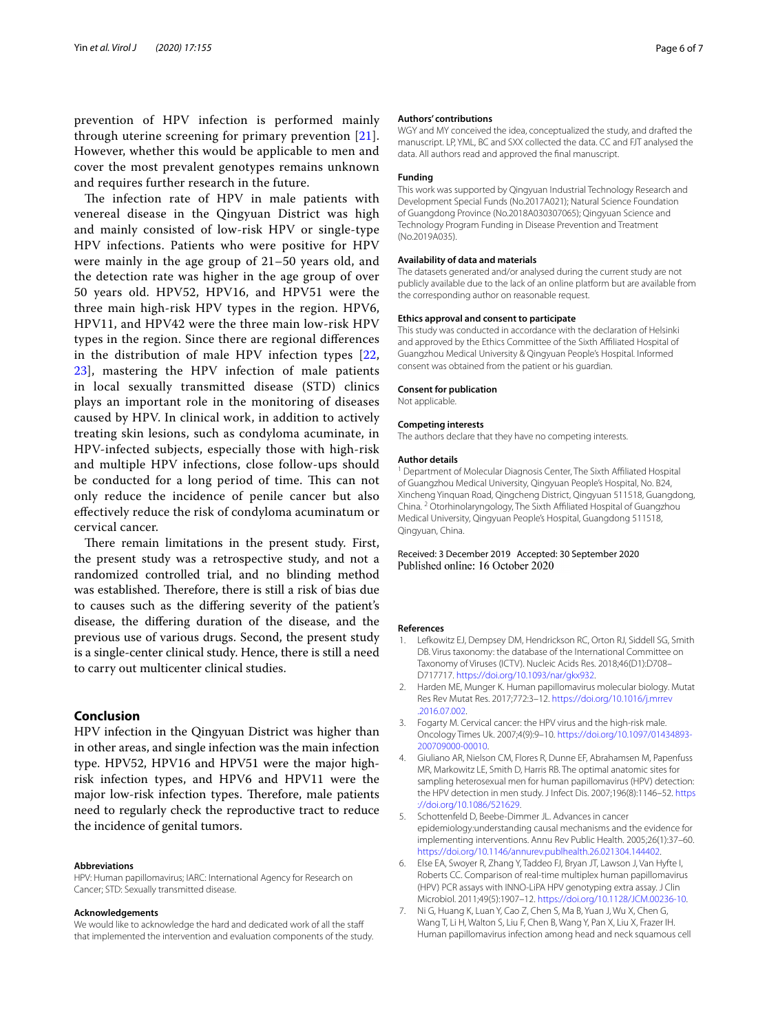prevention of HPV infection is performed mainly through uterine screening for primary prevention [[21](#page-6-11)]. However, whether this would be applicable to men and cover the most prevalent genotypes remains unknown and requires further research in the future.

The infection rate of HPV in male patients with venereal disease in the Qingyuan District was high and mainly consisted of low-risk HPV or single-type HPV infections. Patients who were positive for HPV were mainly in the age group of 21–50 years old, and the detection rate was higher in the age group of over 50 years old. HPV52, HPV16, and HPV51 were the three main high-risk HPV types in the region. HPV6, HPV11, and HPV42 were the three main low-risk HPV types in the region. Since there are regional diferences in the distribution of male HPV infection types [\[22](#page-6-12), [23\]](#page-6-13), mastering the HPV infection of male patients in local sexually transmitted disease (STD) clinics plays an important role in the monitoring of diseases caused by HPV. In clinical work, in addition to actively treating skin lesions, such as condyloma acuminate, in HPV-infected subjects, especially those with high-risk and multiple HPV infections, close follow-ups should be conducted for a long period of time. This can not only reduce the incidence of penile cancer but also efectively reduce the risk of condyloma acuminatum or cervical cancer.

There remain limitations in the present study. First, the present study was a retrospective study, and not a randomized controlled trial, and no blinding method was established. Therefore, there is still a risk of bias due to causes such as the difering severity of the patient's disease, the difering duration of the disease, and the previous use of various drugs. Second, the present study is a single-center clinical study. Hence, there is still a need to carry out multicenter clinical studies.

## **Conclusion**

HPV infection in the Qingyuan District was higher than in other areas, and single infection was the main infection type. HPV52, HPV16 and HPV51 were the major highrisk infection types, and HPV6 and HPV11 were the major low-risk infection types. Therefore, male patients need to regularly check the reproductive tract to reduce the incidence of genital tumors.

#### **Abbreviations**

HPV: Human papillomavirus; IARC: International Agency for Research on Cancer; STD: Sexually transmitted disease.

#### **Acknowledgements**

We would like to acknowledge the hard and dedicated work of all the staff that implemented the intervention and evaluation components of the study.

#### **Authors' contributions**

WGY and MY conceived the idea, conceptualized the study, and drafted the manuscript. LP, YML, BC and SXX collected the data. CC and FJT analysed the data. All authors read and approved the fnal manuscript.

#### **Funding**

This work was supported by Qingyuan Industrial Technology Research and Development Special Funds (No.2017A021); Natural Science Foundation of Guangdong Province (No.2018A030307065); Qingyuan Science and Technology Program Funding in Disease Prevention and Treatment (No.2019A035).

#### **Availability of data and materials**

The datasets generated and/or analysed during the current study are not publicly available due to the lack of an online platform but are available from the corresponding author on reasonable request.

#### **Ethics approval and consent to participate**

This study was conducted in accordance with the declaration of Helsinki and approved by the Ethics Committee of the Sixth Affiliated Hospital of Guangzhou Medical University & Qingyuan People's Hospital. Informed consent was obtained from the patient or his guardian.

## **Consent for publication**

Not applicable.

#### **Competing interests**

The authors declare that they have no competing interests.

#### **Author details**

<sup>1</sup> Department of Molecular Diagnosis Center, The Sixth Affiliated Hospital of Guangzhou Medical University, Qingyuan People's Hospital, No. B24, Xincheng Yinquan Road, Qingcheng District, Qingyuan 511518, Guangdong, China. <sup>2</sup> Otorhinolaryngology, The Sixth Afliated Hospital of Guangzhou Medical University, Qingyuan People's Hospital, Guangdong 511518, Qingyuan, China.

#### Received: 3 December 2019 Accepted: 30 September 2020 Published online: 16 October 2020

#### **References**

- <span id="page-5-0"></span>1. Lefkowitz EJ, Dempsey DM, Hendrickson RC, Orton RJ, Siddell SG, Smith DB. Virus taxonomy: the database of the International Committee on Taxonomy of Viruses (ICTV). Nucleic Acids Res. 2018;46(D1):D708– D717717.<https://doi.org/10.1093/nar/gkx932>.
- <span id="page-5-1"></span>2. Harden ME, Munger K. Human papillomavirus molecular biology. Mutat Res Rev Mutat Res. 2017;772:3–12. [https://doi.org/10.1016/j.mrrev](https://doi.org/10.1016/j.mrrev.2016.07.002) [.2016.07.002.](https://doi.org/10.1016/j.mrrev.2016.07.002)
- <span id="page-5-2"></span>3. Fogarty M. Cervical cancer: the HPV virus and the high-risk male. Oncology Times Uk. 2007;4(9):9–10. [https://doi.org/10.1097/01434893-](https://doi.org/10.1097/01434893-200709000-00010)[200709000-00010](https://doi.org/10.1097/01434893-200709000-00010).
- <span id="page-5-3"></span>4. Giuliano AR, Nielson CM, Flores R, Dunne EF, Abrahamsen M, Papenfuss MR, Markowitz LE, Smith D, Harris RB. The optimal anatomic sites for sampling heterosexual men for human papillomavirus (HPV) detection: the HPV detection in men study. J Infect Dis. 2007;196(8):1146–52. [https](https://doi.org/10.1086/521629) [://doi.org/10.1086/521629.](https://doi.org/10.1086/521629)
- <span id="page-5-4"></span>5. Schottenfeld D, Beebe-Dimmer JL. Advances in cancer epidemiology:understanding causal mechanisms and the evidence for implementing interventions. Annu Rev Public Health. 2005;26(1):37–60. <https://doi.org/10.1146/annurev.publhealth.26.021304.144402>.
- <span id="page-5-5"></span>6. Else EA, Swoyer R, Zhang Y, Taddeo FJ, Bryan JT, Lawson J, Van Hyfte I, Roberts CC. Comparison of real-time multiplex human papillomavirus (HPV) PCR assays with INNO-LiPA HPV genotyping extra assay. J Clin Microbiol. 2011;49(5):1907–12. <https://doi.org/10.1128/JCM.00236-10>.
- <span id="page-5-6"></span>7. Ni G, Huang K, Luan Y, Cao Z, Chen S, Ma B, Yuan J, Wu X, Chen G, Wang T, Li H, Walton S, Liu F, Chen B, Wang Y, Pan X, Liu X, Frazer IH. Human papillomavirus infection among head and neck squamous cell